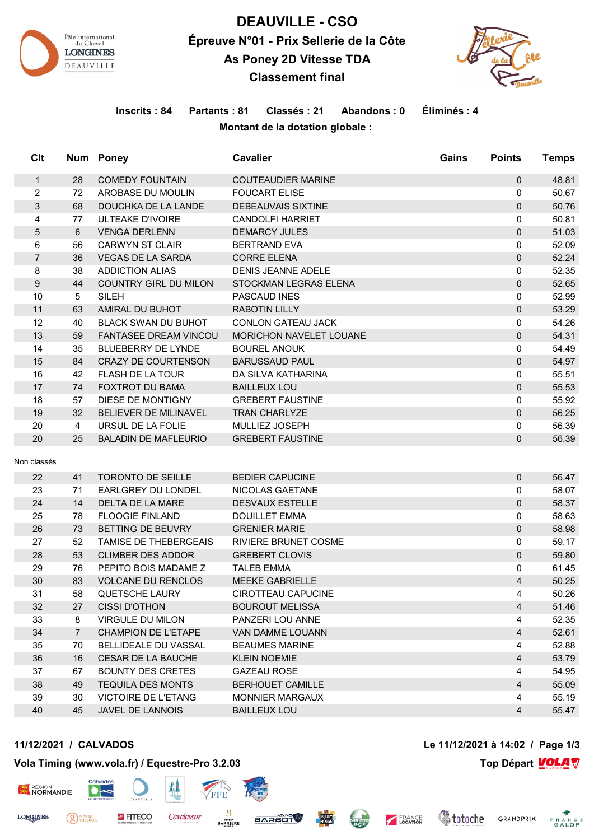

# **DEAUVILLE - CSO Épreuve N°01 - Prix Sellerie de la Côte As Poney 2D Vitesse TDA Classement final**



## **Inscrits : 84 Partants : 81 Classés : 21 Abandons : 0 Éliminés : 4 Montant de la dotation globale :**

| Clt            |                | Num Poney                    | <b>Cavalier</b>                                   | Gains | <b>Points</b>  | <b>Temps</b>   |
|----------------|----------------|------------------------------|---------------------------------------------------|-------|----------------|----------------|
| $\mathbf{1}$   | 28             | <b>COMEDY FOUNTAIN</b>       | <b>COUTEAUDIER MARINE</b>                         |       | $\mathbf{0}$   | 48.81          |
| $\overline{c}$ | 72             | AROBASE DU MOULIN            | <b>FOUCART ELISE</b>                              |       | 0              | 50.67          |
| 3              | 68             | DOUCHKA DE LA LANDE          | <b>DEBEAUVAIS SIXTINE</b>                         |       | $\mathbf{0}$   | 50.76          |
| 4              | 77             | <b>ULTEAKE D'IVOIRE</b>      | <b>CANDOLFI HARRIET</b>                           |       | 0              | 50.81          |
| 5              | 6              | <b>VENGA DERLENN</b>         | <b>DEMARCY JULES</b>                              |       | 0              | 51.03          |
| 6              | 56             | <b>CARWYN ST CLAIR</b>       | <b>BERTRAND EVA</b>                               |       | 0              | 52.09          |
| $\overline{7}$ | 36             | <b>VEGAS DE LA SARDA</b>     | <b>CORRE ELENA</b>                                |       | $\mathbf{0}$   | 52.24          |
| 8              | 38             | <b>ADDICTION ALIAS</b>       | <b>DENIS JEANNE ADELE</b>                         |       | 0              | 52.35          |
| 9              | 44             | <b>COUNTRY GIRL DU MILON</b> | STOCKMAN LEGRAS ELENA                             |       | $\mathbf{0}$   | 52.65          |
| 10             | 5              | <b>SILEH</b>                 | PASCAUD INES                                      |       | 0              | 52.99          |
| 11             | 63             | AMIRAL DU BUHOT              | <b>RABOTIN LILLY</b>                              |       | 0              | 53.29          |
| 12             | 40             | <b>BLACK SWAN DU BUHOT</b>   | <b>CONLON GATEAU JACK</b>                         |       | 0              | 54.26          |
| 13             | 59             | <b>FANTASEE DREAM VINCOU</b> | MORICHON NAVELET LOUANE                           |       | 0              | 54.31          |
| 14             | 35             | BLUEBERRY DE LYNDE           | <b>BOUREL ANOUK</b>                               |       | 0              | 54.49          |
| 15             | 84             | <b>CRAZY DE COURTENSON</b>   | <b>BARUSSAUD PAUL</b>                             |       | 0              | 54.97          |
| 16             | 42             | <b>FLASH DE LA TOUR</b>      | DA SILVA KATHARINA                                |       | 0              | 55.51          |
| 17             | 74             | <b>FOXTROT DU BAMA</b>       | <b>BAILLEUX LOU</b>                               |       | 0              | 55.53          |
| 18             | 57             | DIESE DE MONTIGNY            | <b>GREBERT FAUSTINE</b>                           |       | 0              | 55.92          |
| 19             | 32             | <b>BELIEVER DE MILINAVEL</b> | <b>TRAN CHARLYZE</b>                              |       | $\Omega$       | 56.25          |
| 20             | $\overline{4}$ | URSUL DE LA FOLIE            | MULLIEZ JOSEPH                                    |       | 0              | 56.39          |
| 20             | 25             | <b>BALADIN DE MAFLEURIO</b>  | <b>GREBERT FAUSTINE</b>                           |       | 0              | 56.39          |
| Non classés    |                |                              |                                                   |       |                |                |
| 22             | 41             | <b>TORONTO DE SEILLE</b>     | <b>BEDIER CAPUCINE</b>                            |       | 0              | 56.47          |
| 23             | 71             | <b>EARLGREY DU LONDEL</b>    | NICOLAS GAETANE                                   |       | 0              | 58.07          |
| 24             | 14             | DELTA DE LA MARE             | <b>DESVAUX ESTELLE</b>                            |       | $\mathbf{0}$   | 58.37          |
| 25             | 78             | <b>FLOOGIE FINLAND</b>       | <b>DOUILLET EMMA</b>                              |       | 0              | 58.63          |
| 26             | 73             | BETTING DE BEUVRY            | <b>GRENIER MARIE</b>                              |       | $\mathbf{0}$   | 58.98          |
| 27             | 52             | <b>TAMISE DE THEBERGEAIS</b> | <b>RIVIERE BRUNET COSME</b>                       |       | 0              | 59.17          |
| 28             | 53             | <b>CLIMBER DES ADDOR</b>     | <b>GREBERT CLOVIS</b>                             |       | 0              | 59.80          |
| 29             | 76             | PEPITO BOIS MADAME Z         | <b>TALEB EMMA</b>                                 |       | 0              | 61.45          |
| 30             | 83             | <b>VOLCANE DU RENCLOS</b>    | <b>MEEKE GABRIELLE</b>                            |       | $\overline{4}$ | 50.25          |
| 31             | 58             | <b>QUETSCHE LAURY</b>        | CIROTTEAU CAPUCINE                                |       | 4              | 50.26          |
| 32             | 27             | <b>CISSI D'OTHON</b>         | <b>BOUROUT MELISSA</b>                            |       | $\overline{4}$ | 51.46          |
| 33             | 8              | <b>VIRGULE DU MILON</b>      | PANZERI LOU ANNE                                  |       | 4              | 52.35          |
| 34             | $\overline{7}$ | <b>CHAMPION DE L'ETAPE</b>   | <b>VAN DAMME LOUANN</b>                           |       | 4              | 52.61          |
| 35             | 70             | <b>BELLIDEALE DU VASSAL</b>  | <b>BEAUMES MARINE</b>                             |       | 4              | 52.88          |
| 36             | 16             | <b>CESAR DE LA BAUCHE</b>    | <b>KLEIN NOEMIE</b>                               |       | $\overline{4}$ | 53.79          |
| 37             | 67             | <b>BOUNTY DES CRETES</b>     | <b>GAZEAU ROSE</b>                                |       | 4              | 54.95          |
| 38             |                | <b>TEQUILA DES MONTS</b>     |                                                   |       | $\overline{4}$ |                |
| 39             | 49<br>30       | <b>VICTOIRE DE L'ETANG</b>   | <b>BERHOUET CAMILLE</b><br><b>MONNIER MARGAUX</b> |       | 4              | 55.09<br>55.19 |
| 40             | 45             | JAVEL DE LANNOIS             | <b>BAILLEUX LOU</b>                               |       | 4              |                |
|                |                |                              |                                                   |       |                | 55.47          |

**STÖSSAS** 

#### **11/12/2021 / CALVADOS Le 11/12/2021 à 14:02 / Page 1/3**

<sup>PIERRE</sup>

RÉGION

**LONGINES** 

## **Vola Timing (www.vola.fr) / Equestre-Pro 3.2.03 Top Départ VOLA**

FITECO

Cavalassur

**BARRIERE** 

*<u>Chitoche</u>* 

FRANCE

**GRANDPRIX** FRANCE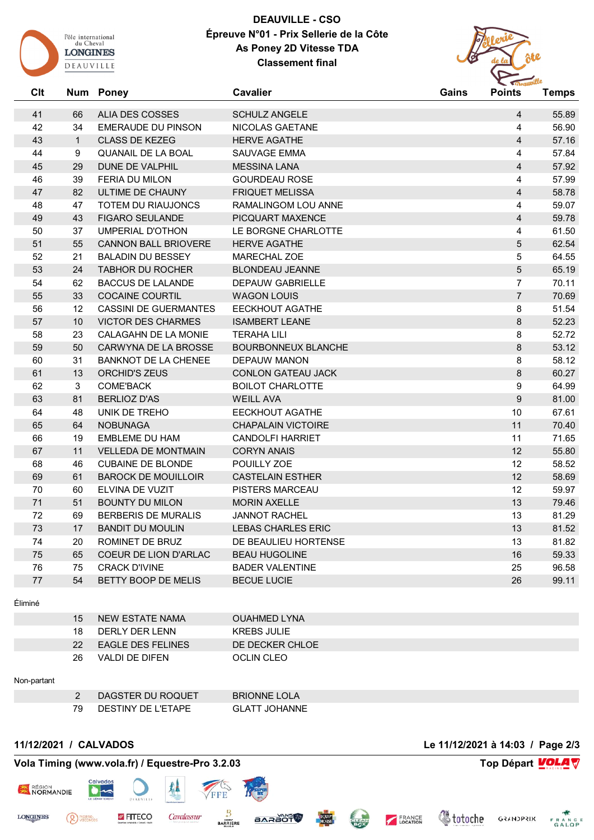

# **DEAUVILLE - CSO Épreuve N°01 - Prix Sellerie de la Côte As Poney 2D Vitesse TDA Classement final**



| ALIA DES COSSES<br><b>EMERAUDE DU PINSON</b><br><b>CLASS DE KEZEG</b><br>QUANAIL DE LA BOAL<br>DUNE DE VALPHIL<br>FERIA DU MILON<br>ULTIME DE CHAUNY<br>TOTEM DU RIAUJONCS<br><b>FIGARO SEULANDE</b><br><b>UMPERIAL D'OTHON</b><br><b>CANNON BALL BRIOVERE</b><br><b>BALADIN DU BESSEY</b> | <b>SCHULZ ANGELE</b><br>NICOLAS GAETANE<br><b>HERVE AGATHE</b><br>SAUVAGE EMMA<br><b>MESSINA LANA</b><br><b>GOURDEAU ROSE</b><br><b>FRIQUET MELISSA</b><br>RAMALINGOM LOU ANNE<br>PICQUART MAXENCE<br>LE BORGNE CHARLOTTE | $\overline{4}$<br>4<br>$\overline{4}$<br>4<br>$\overline{4}$<br>$\overline{4}$<br>$\overline{4}$<br>$\overline{4}$ | 55.89<br>56.90<br>57.16<br>57.84<br>57.92<br>57.99<br>58.78 |
|--------------------------------------------------------------------------------------------------------------------------------------------------------------------------------------------------------------------------------------------------------------------------------------------|---------------------------------------------------------------------------------------------------------------------------------------------------------------------------------------------------------------------------|--------------------------------------------------------------------------------------------------------------------|-------------------------------------------------------------|
|                                                                                                                                                                                                                                                                                            |                                                                                                                                                                                                                           |                                                                                                                    |                                                             |
|                                                                                                                                                                                                                                                                                            |                                                                                                                                                                                                                           |                                                                                                                    |                                                             |
|                                                                                                                                                                                                                                                                                            |                                                                                                                                                                                                                           |                                                                                                                    |                                                             |
|                                                                                                                                                                                                                                                                                            |                                                                                                                                                                                                                           |                                                                                                                    |                                                             |
|                                                                                                                                                                                                                                                                                            |                                                                                                                                                                                                                           |                                                                                                                    |                                                             |
|                                                                                                                                                                                                                                                                                            |                                                                                                                                                                                                                           |                                                                                                                    |                                                             |
|                                                                                                                                                                                                                                                                                            |                                                                                                                                                                                                                           |                                                                                                                    |                                                             |
|                                                                                                                                                                                                                                                                                            |                                                                                                                                                                                                                           |                                                                                                                    | 59.07                                                       |
|                                                                                                                                                                                                                                                                                            |                                                                                                                                                                                                                           | $\overline{4}$                                                                                                     | 59.78                                                       |
|                                                                                                                                                                                                                                                                                            |                                                                                                                                                                                                                           | 4                                                                                                                  | 61.50                                                       |
|                                                                                                                                                                                                                                                                                            | <b>HERVE AGATHE</b>                                                                                                                                                                                                       | 5                                                                                                                  | 62.54                                                       |
|                                                                                                                                                                                                                                                                                            | MARECHAL ZOE                                                                                                                                                                                                              | 5                                                                                                                  | 64.55                                                       |
| <b>TABHOR DU ROCHER</b>                                                                                                                                                                                                                                                                    | <b>BLONDEAU JEANNE</b>                                                                                                                                                                                                    | 5                                                                                                                  | 65.19                                                       |
| <b>BACCUS DE LALANDE</b>                                                                                                                                                                                                                                                                   | DEPAUW GABRIELLE                                                                                                                                                                                                          | $\overline{7}$                                                                                                     | 70.11                                                       |
| <b>COCAINE COURTIL</b>                                                                                                                                                                                                                                                                     | <b>WAGON LOUIS</b>                                                                                                                                                                                                        | $\overline{7}$                                                                                                     | 70.69                                                       |
| <b>CASSINI DE GUERMANTES</b>                                                                                                                                                                                                                                                               | EECKHOUT AGATHE                                                                                                                                                                                                           | 8                                                                                                                  | 51.54                                                       |
| <b>VICTOR DES CHARMES</b>                                                                                                                                                                                                                                                                  | <b>ISAMBERT LEANE</b>                                                                                                                                                                                                     | 8                                                                                                                  | 52.23                                                       |
| CALAGAHN DE LA MONIE                                                                                                                                                                                                                                                                       | <b>TERAHA LILI</b>                                                                                                                                                                                                        | 8                                                                                                                  | 52.72                                                       |
| CARWYNA DE LA BROSSE                                                                                                                                                                                                                                                                       | <b>BOURBONNEUX BLANCHE</b>                                                                                                                                                                                                | 8                                                                                                                  | 53.12                                                       |
| <b>BANKNOT DE LA CHENEE</b>                                                                                                                                                                                                                                                                | DEPAUW MANON                                                                                                                                                                                                              | 8                                                                                                                  | 58.12                                                       |
| ORCHID'S ZEUS                                                                                                                                                                                                                                                                              | <b>CONLON GATEAU JACK</b>                                                                                                                                                                                                 | 8                                                                                                                  | 60.27                                                       |
| COME'BACK                                                                                                                                                                                                                                                                                  | <b>BOILOT CHARLOTTE</b>                                                                                                                                                                                                   | $\boldsymbol{9}$                                                                                                   | 64.99                                                       |
| <b>BERLIOZ D'AS</b>                                                                                                                                                                                                                                                                        | <b>WEILL AVA</b>                                                                                                                                                                                                          | 9                                                                                                                  | 81.00                                                       |
| UNIK DE TREHO                                                                                                                                                                                                                                                                              | EECKHOUT AGATHE                                                                                                                                                                                                           | 10                                                                                                                 | 67.61                                                       |
| <b>NOBUNAGA</b>                                                                                                                                                                                                                                                                            | <b>CHAPALAIN VICTOIRE</b>                                                                                                                                                                                                 | 11                                                                                                                 | 70.40                                                       |
| <b>EMBLEME DU HAM</b>                                                                                                                                                                                                                                                                      | <b>CANDOLFI HARRIET</b>                                                                                                                                                                                                   | 11                                                                                                                 | 71.65                                                       |
| <b>VELLEDA DE MONTMAIN</b>                                                                                                                                                                                                                                                                 | <b>CORYN ANAIS</b>                                                                                                                                                                                                        | 12                                                                                                                 | 55.80                                                       |
| <b>CUBAINE DE BLONDE</b>                                                                                                                                                                                                                                                                   | POUILLY ZOE                                                                                                                                                                                                               | 12                                                                                                                 | 58.52                                                       |
| <b>BAROCK DE MOUILLOIR</b>                                                                                                                                                                                                                                                                 | <b>CASTELAIN ESTHER</b>                                                                                                                                                                                                   | 12                                                                                                                 | 58.69                                                       |
| ELVINA DE VUZIT                                                                                                                                                                                                                                                                            | PISTERS MARCEAU                                                                                                                                                                                                           | 12                                                                                                                 | 59.97                                                       |
| <b>BOUNTY DU MILON</b>                                                                                                                                                                                                                                                                     | <b>MORIN AXELLE</b>                                                                                                                                                                                                       | 13                                                                                                                 | 79.46                                                       |
| <b>BERBERIS DE MURALIS</b>                                                                                                                                                                                                                                                                 | <b>JANNOT RACHEL</b>                                                                                                                                                                                                      | 13                                                                                                                 | 81.29                                                       |
| <b>BANDIT DU MOULIN</b>                                                                                                                                                                                                                                                                    | <b>LEBAS CHARLES ERIC</b>                                                                                                                                                                                                 | 13                                                                                                                 | 81.52                                                       |
| ROMINET DE BRUZ                                                                                                                                                                                                                                                                            | DE BEAULIEU HORTENSE                                                                                                                                                                                                      | 13                                                                                                                 | 81.82                                                       |
| COEUR DE LION D'ARLAC                                                                                                                                                                                                                                                                      | <b>BEAU HUGOLINE</b>                                                                                                                                                                                                      | 16                                                                                                                 | 59.33                                                       |
| <b>CRACK D'IVINE</b>                                                                                                                                                                                                                                                                       | <b>BADER VALENTINE</b>                                                                                                                                                                                                    | 25                                                                                                                 | 96.58                                                       |
| <b>BETTY BOOP DE MELIS</b>                                                                                                                                                                                                                                                                 | <b>BECUE LUCIE</b>                                                                                                                                                                                                        | 26                                                                                                                 | 99.11                                                       |
|                                                                                                                                                                                                                                                                                            |                                                                                                                                                                                                                           |                                                                                                                    |                                                             |

| 15              | NEW ESTATE NAMA   | OUAHMED LYNA    |
|-----------------|-------------------|-----------------|
| 18              | DERLY DER LENN    | KREBS JULIE     |
| 22 <sub>1</sub> | EAGLE DES FELINES | DE DECKER CHLOE |
| 26              | VALDI DE DIFEN    | OCLIN CLEO      |
|                 |                   |                 |

#### Non-partant

RÉGION

**LONGINES** 

| DAGSTER DU ROQUET  | <b>BRIONNE LOLA</b>  |
|--------------------|----------------------|
| DESTINY DE L'ETAPE | <b>GLATT JOHANNE</b> |

**BARAOT** 

#### **11/12/2021 / CALVADOS Le 11/12/2021 à 14:03 / Page 2/3**

<sup>PIERRE</sup>

**Vola Timing (www.vola.fr) / Equestre-Pro 3.2.03 Top Départ VOLA** 

**DEADVILLE** 

FITECO

 $\bullet$ 

丛

Cavalassur

FFE

₿

**BARRIERE** 

**Voloche** GRANDPRIX FRANCE

CLEAN

FRANCE